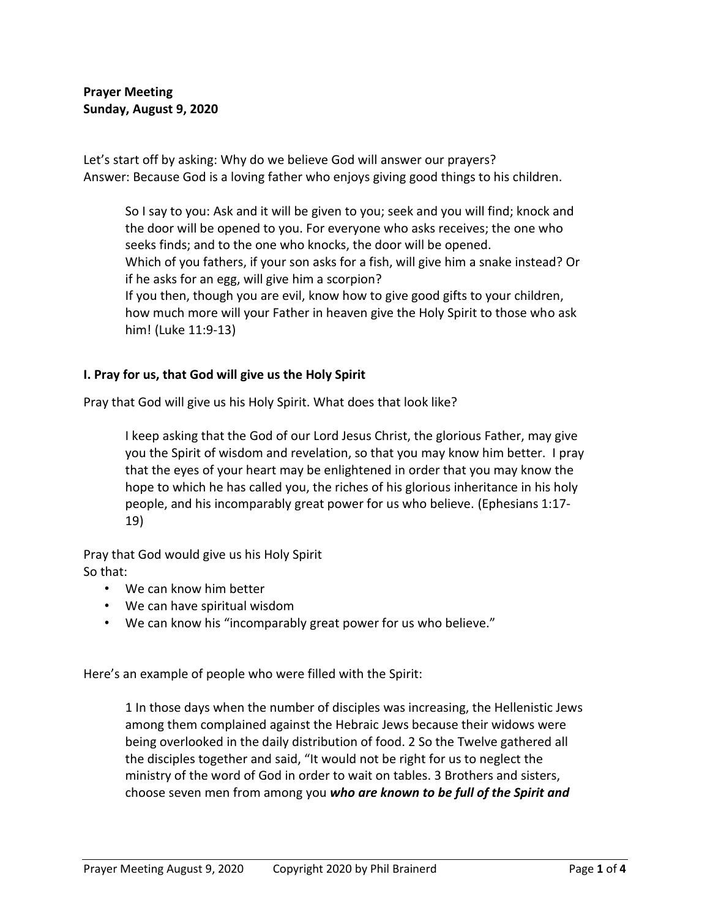**Prayer Meeting Sunday, August 9, 2020**

Let's start off by asking: Why do we believe God will answer our prayers? Answer: Because God is a loving father who enjoys giving good things to his children.

So I say to you: Ask and it will be given to you; seek and you will find; knock and the door will be opened to you. For everyone who asks receives; the one who seeks finds; and to the one who knocks, the door will be opened. Which of you fathers, if your son asks for a fish, will give him a snake instead? Or if he asks for an egg, will give him a scorpion? If you then, though you are evil, know how to give good gifts to your children, how much more will your Father in heaven give the Holy Spirit to those who ask him! (Luke 11:9-13)

### **I. Pray for us, that God will give us the Holy Spirit**

Pray that God will give us his Holy Spirit. What does that look like?

I keep asking that the God of our Lord Jesus Christ, the glorious Father, may give you the Spirit of wisdom and revelation, so that you may know him better. I pray that the eyes of your heart may be enlightened in order that you may know the hope to which he has called you, the riches of his glorious inheritance in his holy people, and his incomparably great power for us who believe. (Ephesians 1:17- 19)

Pray that God would give us his Holy Spirit So that:

- We can know him better
- We can have spiritual wisdom
- We can know his "incomparably great power for us who believe."

Here's an example of people who were filled with the Spirit:

1 In those days when the number of disciples was increasing, the Hellenistic Jews among them complained against the Hebraic Jews because their widows were being overlooked in the daily distribution of food. 2 So the Twelve gathered all the disciples together and said, "It would not be right for us to neglect the ministry of the word of God in order to wait on tables. 3 Brothers and sisters, choose seven men from among you *who are known to be full of the Spirit and*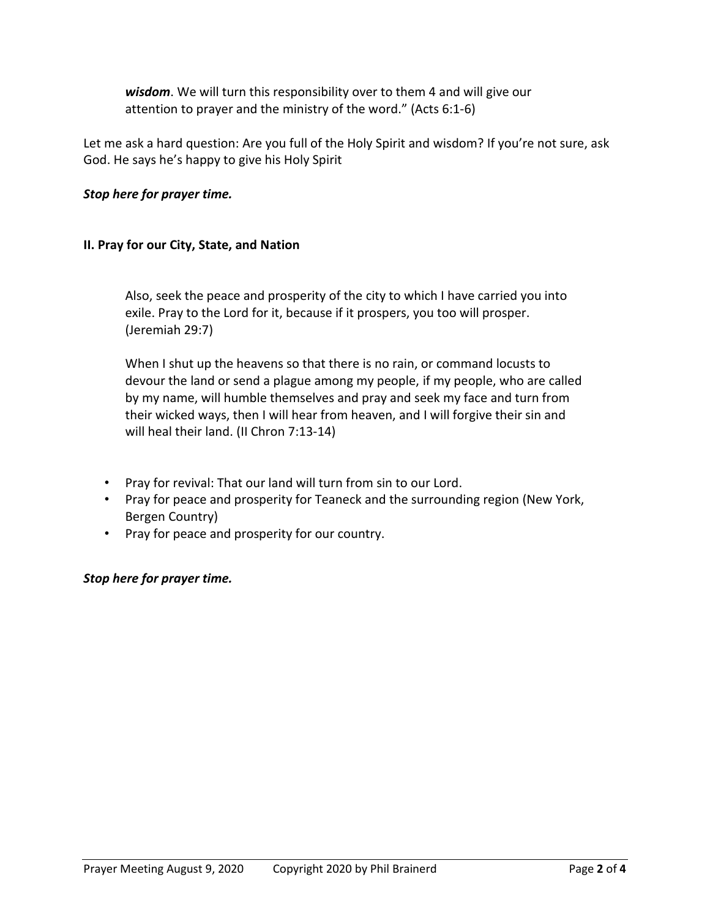*wisdom*. We will turn this responsibility over to them 4 and will give our attention to prayer and the ministry of the word." (Acts 6:1-6)

Let me ask a hard question: Are you full of the Holy Spirit and wisdom? If you're not sure, ask God. He says he's happy to give his Holy Spirit

# *Stop here for prayer time.*

## **II. Pray for our City, State, and Nation**

Also, seek the peace and prosperity of the city to which I have carried you into exile. Pray to the Lord for it, because if it prospers, you too will prosper. (Jeremiah 29:7)

When I shut up the heavens so that there is no rain, or command locusts to devour the land or send a plague among my people, if my people, who are called by my name, will humble themselves and pray and seek my face and turn from their wicked ways, then I will hear from heaven, and I will forgive their sin and will heal their land. (II Chron 7:13-14)

- Pray for revival: That our land will turn from sin to our Lord.
- Pray for peace and prosperity for Teaneck and the surrounding region (New York, Bergen Country)
- Pray for peace and prosperity for our country.

## *Stop here for prayer time.*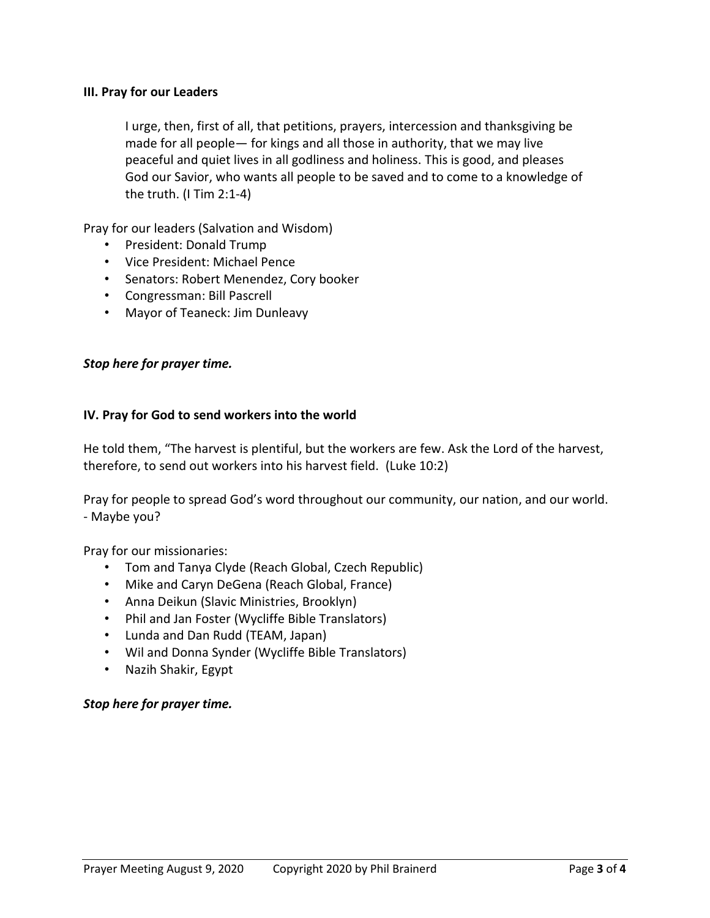### **III. Pray for our Leaders**

I urge, then, first of all, that petitions, prayers, intercession and thanksgiving be made for all people— for kings and all those in authority, that we may live peaceful and quiet lives in all godliness and holiness. This is good, and pleases God our Savior, who wants all people to be saved and to come to a knowledge of the truth. (I Tim 2:1-4)

Pray for our leaders (Salvation and Wisdom)

- President: Donald Trump
- Vice President: Michael Pence
- Senators: Robert Menendez, Cory booker
- Congressman: Bill Pascrell
- Mayor of Teaneck: Jim Dunleavy

### *Stop here for prayer time.*

### **IV. Pray for God to send workers into the world**

He told them, "The harvest is plentiful, but the workers are few. Ask the Lord of the harvest, therefore, to send out workers into his harvest field. (Luke 10:2)

Pray for people to spread God's word throughout our community, our nation, and our world. - Maybe you?

Pray for our missionaries:

- Tom and Tanya Clyde (Reach Global, Czech Republic)
- Mike and Caryn DeGena (Reach Global, France)
- Anna Deikun (Slavic Ministries, Brooklyn)
- Phil and Jan Foster (Wycliffe Bible Translators)
- Lunda and Dan Rudd (TEAM, Japan)
- Wil and Donna Synder (Wycliffe Bible Translators)
- Nazih Shakir, Egypt

### *Stop here for prayer time.*